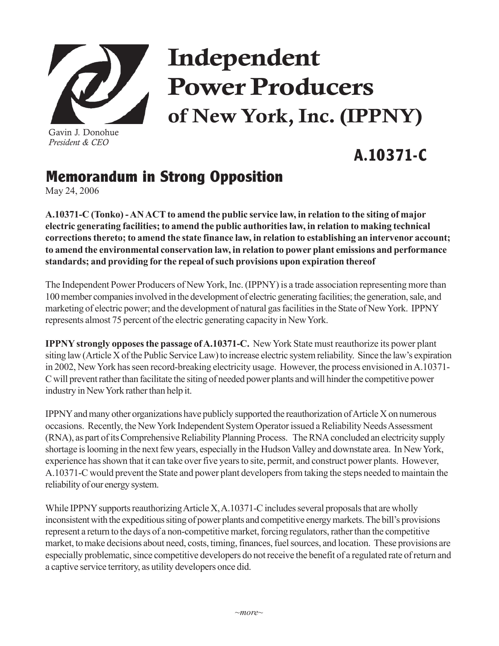

Gavin J. Donohue *President & CEO*

## Independent Power Producers of New York, Inc. (IPPNY)

## **A.10371-C**

## **Memorandum in Strong Opposition**

May 24, 2006

**A.10371-C (Tonko) - AN ACT to amend the public service law, in relation to the siting of major electric generating facilities; to amend the public authorities law, in relation to making technical corrections thereto; to amend the state finance law, in relation to establishing an intervenor account; to amend the environmental conservation law, in relation to power plant emissions and performance standards; and providing for the repeal of such provisions upon expiration thereof**

The Independent Power Producers of New York, Inc. (IPPNY) is a trade association representing more than 100 member companies involved in the development of electric generating facilities; the generation, sale, and marketing of electric power; and the development of natural gas facilities in the State of New York. IPPNY represents almost 75 percent of the electric generating capacity in New York.

**IPPNY strongly opposes the passage of A.10371-C.** New York State must reauthorize its power plant siting law (Article X of the Public Service Law) to increase electric system reliability. Since the law's expiration in 2002, New York has seen record-breaking electricity usage. However, the process envisioned in A.10371- C will prevent rather than facilitate the siting of needed power plants and will hinder the competitive power industry in New York rather than help it.

IPPNY and many other organizations have publicly supported the reauthorization of Article X on numerous occasions. Recently, the New York Independent System Operator issued a Reliability Needs Assessment (RNA), as part of its Comprehensive Reliability Planning Process. The RNA concluded an electricity supply shortage is looming in the next few years, especially in the Hudson Valley and downstate area. In New York, experience has shown that it can take over five years to site, permit, and construct power plants. However, A.10371-C would prevent the State and power plant developers from taking the steps needed to maintain the reliability of our energy system.

While IPPNY supports reauthorizing Article X, A.10371-C includes several proposals that are wholly inconsistent with the expeditious siting of power plants and competitive energy markets. The bill's provisions represent a return to the days of a non-competitive market, forcing regulators, rather than the competitive market, to make decisions about need, costs, timing, finances, fuel sources, and location. These provisions are especially problematic, since competitive developers do not receive the benefit of a regulated rate of return and a captive service territory, as utility developers once did.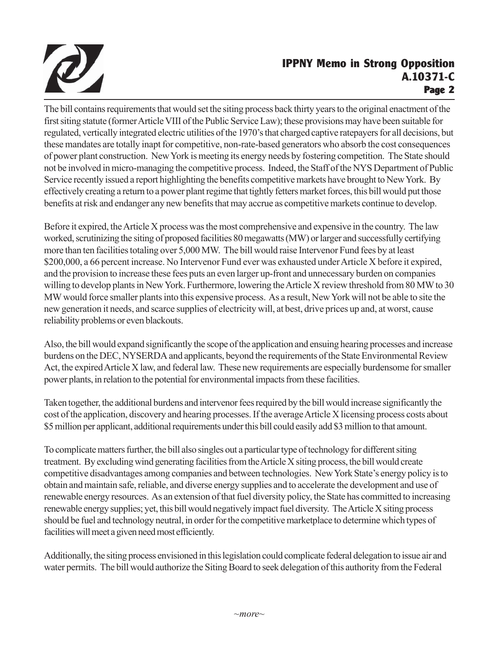

## **IPPNY Memo in Strong Opposition A.10371-C Page 2**

The bill contains requirements that would set the siting process back thirty years to the original enactment of the first siting statute (former Article VIII of the Public Service Law); these provisions may have been suitable for regulated, vertically integrated electric utilities of the 1970's that charged captive ratepayers for all decisions, but these mandates are totally inapt for competitive, non-rate-based generators who absorb the cost consequences of power plant construction. New York is meeting its energy needs by fostering competition. The State should not be involved in micro-managing the competitive process. Indeed, the Staff of the NYS Department of Public Service recently issued a report highlighting the benefits competitive markets have brought to New York. By effectively creating a return to a power plant regime that tightly fetters market forces, this bill would put those benefits at risk and endanger any new benefits that may accrue as competitive markets continue to develop.

Before it expired, the Article X process was the most comprehensive and expensive in the country. The law worked, scrutinizing the siting of proposed facilities 80 megawatts (MW) or larger and successfully certifying more than ten facilities totaling over 5,000 MW. The bill would raise Intervenor Fund fees by at least \$200,000, a 66 percent increase. No Intervenor Fund ever was exhausted under Article X before it expired, and the provision to increase these fees puts an even larger up-front and unnecessary burden on companies willing to develop plants in New York. Furthermore, lowering the Article X review threshold from 80 MW to 30 MW would force smaller plants into this expensive process. As a result, New York will not be able to site the new generation it needs, and scarce supplies of electricity will, at best, drive prices up and, at worst, cause reliability problems or even blackouts.

Also, the bill would expand significantly the scope of the application and ensuing hearing processes and increase burdens on the DEC, NYSERDA and applicants, beyond the requirements of the State Environmental Review Act, the expired Article X law, and federal law. These new requirements are especially burdensome for smaller power plants, in relation to the potential for environmental impacts from these facilities.

Taken together, the additional burdens and intervenor fees required by the bill would increase significantly the cost of the application, discovery and hearing processes. If the average Article X licensing process costs about \$5 million per applicant, additional requirements under this bill could easily add \$3 million to that amount.

To complicate matters further, the bill also singles out a particular type of technology for different siting treatment. By excluding wind generating facilities from the Article X siting process, the bill would create competitive disadvantages among companies and between technologies. New York State's energy policy is to obtain and maintain safe, reliable, and diverse energy supplies and to accelerate the development and use of renewable energy resources. As an extension of that fuel diversity policy, the State has committed to increasing renewable energy supplies; yet, this bill would negatively impact fuel diversity. The Article X siting process should be fuel and technology neutral, in order for the competitive marketplace to determine which types of facilities will meet a given need most efficiently.

Additionally, the siting process envisioned in this legislation could complicate federal delegation to issue air and water permits. The bill would authorize the Siting Board to seek delegation of this authority from the Federal